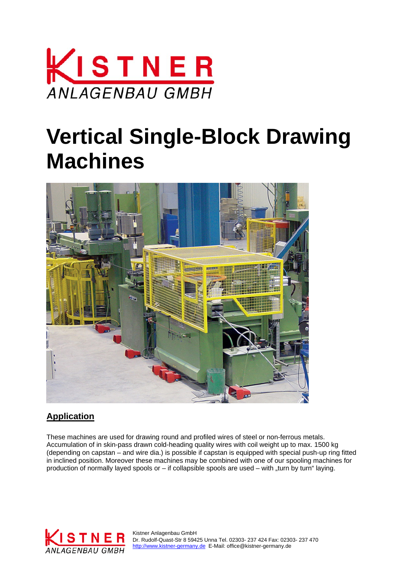

# **Vertical Single-Block Drawing Machines**



## **Application**

These machines are used for drawing round and profiled wires of steel or non-ferrous metals. Accumulation of in skin-pass drawn cold-heading quality wires with coil weight up to max. 1500 kg (depending on capstan – and wire dia.) is possible if capstan is equipped with special push-up ring fitted in inclined position. Moreover these machines may be combined with one of our spooling machines for production of normally layed spools or  $-$  if collapsible spools are used  $-$  with  $\pi$ turn by turn" laying.